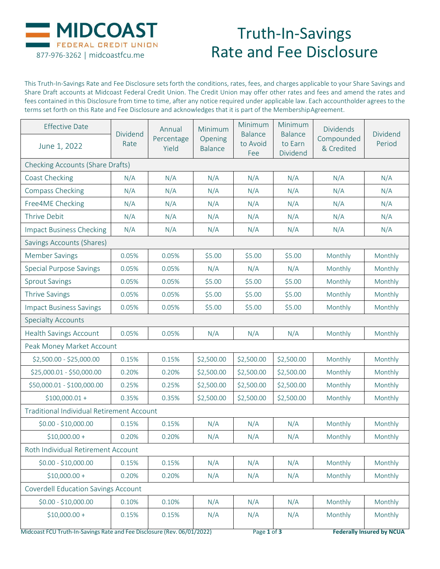

## Truth-In-Savings Rate and Fee Disclosure

This Truth-In-Savings Rate and Fee Disclosure sets forth the conditions, rates, fees, and charges applicable to your Share Savings and Share Draft accounts at Midcoast Federal Credit Union. The Credit Union may offer other rates and fees and amend the rates and fees contained in this Disclosure from time to time, after any notice required under applicable law. Each accountholder agrees to the terms set forth on this Rate and Fee Disclosure and acknowledges that it is part of the Membership Agreement.

| <b>Effective Date</b><br>June 1, 2022                                   | Dividend<br>Rate | Annual<br>Percentage<br>Yield | Minimum<br>Opening<br><b>Balance</b> | Minimum<br><b>Balance</b><br>to Avoid<br>Fee | Minimum<br><b>Balance</b><br>to Earn<br>Dividend | <b>Dividends</b><br>Compounded<br>& Credited | Dividend<br>Period               |  |  |  |
|-------------------------------------------------------------------------|------------------|-------------------------------|--------------------------------------|----------------------------------------------|--------------------------------------------------|----------------------------------------------|----------------------------------|--|--|--|
| <b>Checking Accounts (Share Drafts)</b>                                 |                  |                               |                                      |                                              |                                                  |                                              |                                  |  |  |  |
| Coast Checking                                                          | N/A              | N/A                           | N/A                                  | N/A                                          | N/A                                              | N/A                                          | N/A                              |  |  |  |
| <b>Compass Checking</b>                                                 | N/A              | N/A                           | N/A                                  | N/A                                          | N/A                                              | N/A                                          | N/A                              |  |  |  |
| Free4ME Checking                                                        | N/A              | N/A                           | N/A                                  | N/A                                          | N/A                                              | N/A                                          | N/A                              |  |  |  |
| Thrive Debit                                                            | N/A              | N/A                           | N/A                                  | N/A                                          | N/A                                              | N/A                                          | N/A                              |  |  |  |
| <b>Impact Business Checking</b>                                         | N/A              | N/A                           | N/A                                  | N/A                                          | N/A                                              | N/A                                          | N/A                              |  |  |  |
| Savings Accounts (Shares)                                               |                  |                               |                                      |                                              |                                                  |                                              |                                  |  |  |  |
| Member Savings                                                          | 0.05%            | 0.05%                         | \$5.00                               | \$5.00                                       | \$5.00                                           | Monthly                                      | Monthly                          |  |  |  |
| <b>Special Purpose Savings</b>                                          | 0.05%            | 0.05%                         | N/A                                  | N/A                                          | N/A                                              | Monthly                                      | Monthly                          |  |  |  |
| <b>Sprout Savings</b>                                                   | 0.05%            | 0.05%                         | \$5.00                               | \$5.00                                       | \$5.00                                           | Monthly                                      | Monthly                          |  |  |  |
| <b>Thrive Savings</b>                                                   | 0.05%            | 0.05%                         | \$5.00                               | \$5.00                                       | \$5.00                                           | Monthly                                      | Monthly                          |  |  |  |
| <b>Impact Business Savings</b>                                          | 0.05%            | 0.05%                         | \$5.00                               | \$5.00                                       | \$5.00                                           | Monthly                                      | Monthly                          |  |  |  |
| <b>Specialty Accounts</b>                                               |                  |                               |                                      |                                              |                                                  |                                              |                                  |  |  |  |
| <b>Health Savings Account</b>                                           | 0.05%            | 0.05%                         | N/A                                  | N/A                                          | N/A                                              | Monthly                                      | Monthly                          |  |  |  |
| Peak Money Market Account                                               |                  |                               |                                      |                                              |                                                  |                                              |                                  |  |  |  |
| \$2,500.00 - \$25,000.00                                                | 0.15%            | 0.15%                         | \$2,500.00                           | \$2,500.00                                   | \$2,500.00                                       | Monthly                                      | Monthly                          |  |  |  |
| \$25,000.01 - \$50,000.00                                               | 0.20%            | 0.20%                         | \$2,500.00                           | \$2,500.00                                   | \$2,500.00                                       | Monthly                                      | Monthly                          |  |  |  |
| \$50,000.01 - \$100,000.00                                              | 0.25%            | 0.25%                         | \$2,500.00                           | \$2,500.00                                   | \$2,500.00                                       | Monthly                                      | Monthly                          |  |  |  |
| $$100,000.01 +$                                                         | 0.35%            | 0.35%                         | \$2,500.00                           | \$2,500.00                                   | \$2,500.00                                       | Monthly                                      | Monthly                          |  |  |  |
| <b>Traditional Individual Retirement Account</b>                        |                  |                               |                                      |                                              |                                                  |                                              |                                  |  |  |  |
| $$0.00 - $10,000.00$                                                    | 0.15%            | 0.15%                         | N/A                                  | N/A                                          | N/A                                              | Monthly                                      | Monthly                          |  |  |  |
| $$10,000.00+$                                                           | 0.20%            | 0.20%                         | N/A                                  | N/A                                          | N/A                                              | Monthly                                      | Monthly                          |  |  |  |
| Roth Individual Retirement Account                                      |                  |                               |                                      |                                              |                                                  |                                              |                                  |  |  |  |
| \$0.00 - \$10,000.00                                                    | 0.15%            | 0.15%                         | N/A                                  | N/A                                          | N/A                                              | Monthly                                      | Monthly                          |  |  |  |
| $$10,000.00+$                                                           | 0.20%            | 0.20%                         | N/A                                  | N/A                                          | N/A                                              | Monthly                                      | Monthly                          |  |  |  |
| <b>Coverdell Education Savings Account</b>                              |                  |                               |                                      |                                              |                                                  |                                              |                                  |  |  |  |
| \$0.00 - \$10,000.00                                                    | 0.10%            | 0.10%                         | N/A                                  | N/A                                          | N/A                                              | Monthly                                      | Monthly                          |  |  |  |
| $$10,000.00+$                                                           | 0.15%            | 0.15%                         | N/A                                  | N/A                                          | N/A                                              | Monthly                                      | Monthly                          |  |  |  |
| Midcoast FCU Truth-In-Savings Rate and Fee Disclosure (Rev. 06/01/2022) |                  |                               |                                      |                                              | Page 1 of 3                                      |                                              | <b>Federally Insured by NCUA</b> |  |  |  |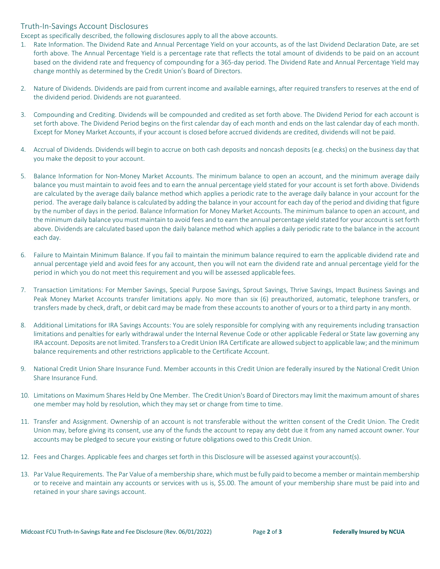## Truth-In-Savings Account Disclosures

Except as specifically described, the following disclosures apply to all the above accounts.

- 1. Rate Information. The Dividend Rate and Annual Percentage Yield on your accounts, as of the last Dividend Declaration Date, are set forth above. The Annual Percentage Yield is a percentage rate that reflects the total amount of dividends to be paid on an account based on the dividend rate and frequency of compounding for a 365-day period. The Dividend Rate and Annual Percentage Yield may change monthly as determined by the Credit Union's Board of Directors.
- 2. Nature of Dividends. Dividends are paid from current income and available earnings, after required transfers to reserves at the end of the dividend period. Dividends are not guaranteed.
- 3. Compounding and Crediting. Dividends will be compounded and credited as set forth above. The Dividend Period for each account is set forth above. The Dividend Period begins on the first calendar day of each month and ends on the last calendar day of each month. Except for Money Market Accounts, if your account is closed before accrued dividends are credited, dividends will not be paid.
- 4. Accrual of Dividends. Dividends will begin to accrue on both cash deposits and noncash deposits (e.g. checks) on the business day that you make the deposit to your account.
- 5. Balance Information for Non-Money Market Accounts. The minimum balance to open an account, and the minimum average daily balance you must maintain to avoid fees and to earn the annual percentage yield stated for your account is set forth above. Dividends are calculated by the average daily balance method which applies a periodic rate to the average daily balance in your account for the period. The average daily balance is calculated by adding the balance in your account for each day of the period and dividing that figure by the number of days in the period. Balance Information for Money Market Accounts. The minimum balance to open an account, and the minimum daily balance you must maintain to avoid fees and to earn the annual percentage yield stated for your account is set forth above. Dividends are calculated based upon the daily balance method which applies a daily periodic rate to the balance in the account each day.
- 6. Failure to Maintain Minimum Balance. If you fail to maintain the minimum balance required to earn the applicable dividend rate and annual percentage yield and avoid fees for any account, then you will not earn the dividend rate and annual percentage yield for the period in which you do not meet this requirement and you will be assessed applicable fees.
- 7. Transaction Limitations: For Member Savings, Special Purpose Savings, Sprout Savings, Thrive Savings, Impact Business Savings and Peak Money Market Accounts transfer limitations apply. No more than six (6) preauthorized, automatic, telephone transfers, or transfers made by check, draft, or debit card may be made from these accounts to another of yours or to a third party in any month.
- 8. Additional Limitations for IRA Savings Accounts: You are solely responsible for complying with any requirements including transaction limitations and penalties for early withdrawal under the Internal Revenue Code or other applicable Federal or State law governing any IRA account. Deposits are not limited. Transfersto a Credit Union IRA Certificate are allowed subject to applicable law; and the minimum balance requirements and other restrictions applicable to the Certificate Account.
- 9. National Credit Union Share Insurance Fund. Member accounts in this Credit Union are federally insured by the National Credit Union Share Insurance Fund.
- 10. Limitations on Maximum Shares Held by One Member. The Credit Union's Board of Directors may limit the maximum amount of shares one member may hold by resolution, which they may set or change from time to time.
- 11. Transfer and Assignment. Ownership of an account is not transferable without the written consent of the Credit Union. The Credit Union may, before giving its consent, use any of the funds the account to repay any debt due it from any named account owner. Your accounts may be pledged to secure your existing or future obligations owed to this Credit Union.
- 12. Fees and Charges. Applicable fees and charges set forth in this Disclosure will be assessed against youraccount(s).
- 13. Par Value Requirements. The Par Value of a membership share, which must be fully paid to become a member or maintain membership or to receive and maintain any accounts or services with us is, \$5.00. The amount of your membership share must be paid into and retained in your share savings account.